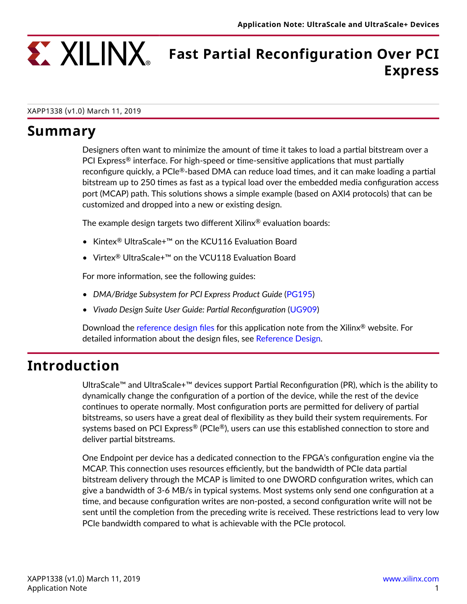

# **Fast Partial Reconfiguration Over PCI Express**

#### XAPP1338 (v1.0) March 11, 2019

### **Summary**

Designers often want to minimize the amount of time it takes to load a partial bitstream over a PCI Express<sup>®</sup> interface. For high-speed or time-sensitive applications that must partially reconfigure quickly, a PCIe $^{\circledR}$ -based DMA can reduce load times, and it can make loading a partial bitstream up to 250 times as fast as a typical load over the embedded media configuration access port (MCAP) path. This solutions shows a simple example (based on AXI4 protocols) that can be customized and dropped into a new or existing design.

The example design targets two different Xilinx® evaluation boards:

- Kintex® UltraScale+™ on the KCU116 Evaluation Board
- Virtex® UltraScale+™ on the VCU118 Evaluation Board

For more information, see the following guides:

- *DMA/Bridge Subsystem for PCI Express Product Guide* ([PG195\)](https://www.xilinx.com/cgi-bin/docs/ipdoc?c=xdma;v=latest;d=pg195-pcie-dma.pdf)
- *Vivado Design Suite User Guide: Partial Reconfiguration* [\(UG909\)](https://www.xilinx.com/cgi-bin/docs/rdoc?v=latest;d=ug909-vivado-partial-reconfiguration.pdf)

Download the [reference design files](https://www.xilinx.com/cgi-bin/docs/ctdoc?cid=9adce07d-63ec-4dac-88cb-16cfe00e6d8a;d=xapp1338-fast-partial-reconfiguration-pci-express.zip) for this application note from the Xilinx® website. For detailed information about the design files, see [Reference Design.](#page-1-0)

### **Introduction**

UltraScale™ and UltraScale+™ devices support Partial Reconfiguration (PR), which is the ability to dynamically change the configuration of a portion of the device, while the rest of the device continues to operate normally. Most configuration ports are permitted for delivery of partial bitstreams, so users have a great deal of flexibility as they build their system requirements. For systems based on PCI Express® (PCIe®), users can use this established connection to store and deliver partial bitstreams.

One Endpoint per device has a dedicated connection to the FPGA's configuration engine via the MCAP. This connection uses resources efficiently, but the bandwidth of PCIe data partial bitstream delivery through the MCAP is limited to one DWORD configuration writes, which can give a bandwidth of 3-6 MB/s in typical systems. Most systems only send one configuration at a time, and because configuration writes are non-posted, a second configuration write will not be sent until the completion from the preceding write is received. These restrictions lead to very low PCIe bandwidth compared to what is achievable with the PCIe protocol.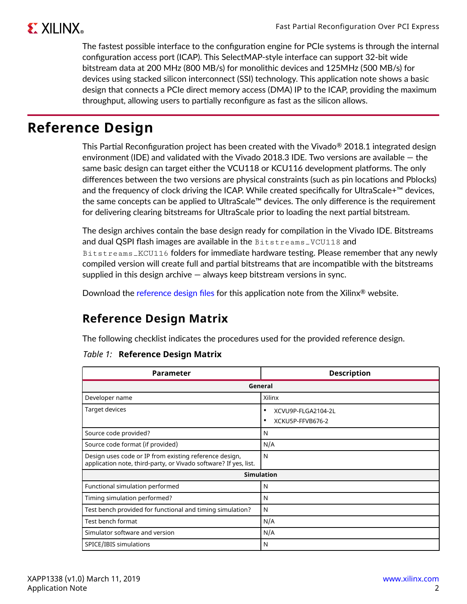<span id="page-1-0"></span>The fastest possible interface to the configuration engine for PCIe systems is through the internal configuration access port (ICAP). This SelectMAP-style interface can support 32-bit wide bitstream data at 200 MHz (800 MB/s) for monolithic devices and 125MHz (500 MB/s) for devices using stacked silicon interconnect (SSI) technology. This application note shows a basic design that connects a PCIe direct memory access (DMA) IP to the ICAP, providing the maximum throughput, allowing users to partially reconfigure as fast as the silicon allows.

### **Reference Design**

This Partial Reconfiguration project has been created with the Vivado® 2018.1 integrated design environment (IDE) and validated with the Vivado 2018.3 IDE. Two versions are available — the same basic design can target either the VCU118 or KCU116 development platforms. The only differences between the two versions are physical constraints (such as pin locations and Pblocks) and the frequency of clock driving the ICAP. While created specifically for UltraScale+™ devices, the same concepts can be applied to UltraScale™ devices. The only difference is the requirement for delivering clearing bitstreams for UltraScale prior to loading the next partial bitstream.

The design archives contain the base design ready for compilation in the Vivado IDE. Bitstreams and dual QSPI flash images are available in the Bitstreams\_VCU118 and Bitstreams\_KCU116 folders for immediate hardware testing. Please remember that any newly compiled version will create full and partial bitstreams that are incompatible with the bitstreams supplied in this design archive — always keep bitstream versions in sync.

Download the [reference design files](https://www.xilinx.com/cgi-bin/docs/ctdoc?cid=9adce07d-63ec-4dac-88cb-16cfe00e6d8a;d=xapp1338-fast-partial-reconfiguration-pci-express.zip) for this application note from the Xilinx<sup>®</sup> website.

### **Reference Design Matrix**

The following checklist indicates the procedures used for the provided reference design.

#### *Table 1:* **Reference Design Matrix**

| Parameter                                                                                                                  | <b>Description</b>      |  |  |  |  |  |
|----------------------------------------------------------------------------------------------------------------------------|-------------------------|--|--|--|--|--|
| General                                                                                                                    |                         |  |  |  |  |  |
| Developer name                                                                                                             | Xilinx                  |  |  |  |  |  |
| Target devices                                                                                                             | XCVU9P-FLGA2104-2L<br>٠ |  |  |  |  |  |
|                                                                                                                            | XCKU5P-FFVB676-2<br>٠   |  |  |  |  |  |
| Source code provided?                                                                                                      | N                       |  |  |  |  |  |
| Source code format (if provided)                                                                                           | N/A                     |  |  |  |  |  |
| Design uses code or IP from existing reference design,<br>application note, third-party, or Vivado software? If yes, list. | N                       |  |  |  |  |  |
|                                                                                                                            | <b>Simulation</b>       |  |  |  |  |  |
| Functional simulation performed                                                                                            | N                       |  |  |  |  |  |
| Timing simulation performed?                                                                                               | N                       |  |  |  |  |  |
| Test bench provided for functional and timing simulation?                                                                  | N                       |  |  |  |  |  |
| Test bench format                                                                                                          | N/A                     |  |  |  |  |  |
| Simulator software and version                                                                                             | N/A                     |  |  |  |  |  |
| SPICE/IBIS simulations                                                                                                     | N                       |  |  |  |  |  |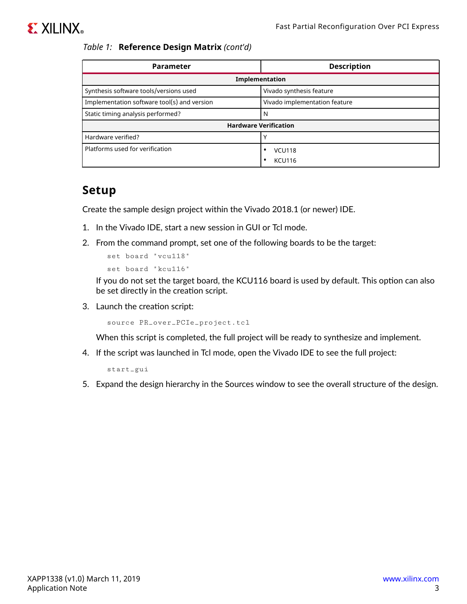#### *Table 1:* **Reference Design Matrix** *(cont'd)*

| <b>Parameter</b>                            | <b>Description</b>            |  |  |  |  |
|---------------------------------------------|-------------------------------|--|--|--|--|
| Implementation                              |                               |  |  |  |  |
| Synthesis software tools/versions used      | Vivado synthesis feature      |  |  |  |  |
| Implementation software tool(s) and version | Vivado implementation feature |  |  |  |  |
| Static timing analysis performed?           | N                             |  |  |  |  |
|                                             | <b>Hardware Verification</b>  |  |  |  |  |
| Hardware verified?                          |                               |  |  |  |  |
| Platforms used for verification             | <b>VCU118</b>                 |  |  |  |  |
|                                             | <b>KCU116</b>                 |  |  |  |  |

#### **Setup**

Create the sample design project within the Vivado 2018.1 (or newer) IDE.

- 1. In the Vivado IDE, start a new session in GUI or Tcl mode.
- 2. From the command prompt, set one of the following boards to be the target:

```
set board "vcu118"
set board "kcu116"
```
If you do not set the target board, the KCU116 board is used by default. This option can also be set directly in the creation script.

3. Launch the creation script:

source PR\_over\_PCIe\_project.tcl

When this script is completed, the full project will be ready to synthesize and implement.

4. If the script was launched in Tcl mode, open the Vivado IDE to see the full project:

start\_gui

5. Expand the design hierarchy in the Sources window to see the overall structure of the design.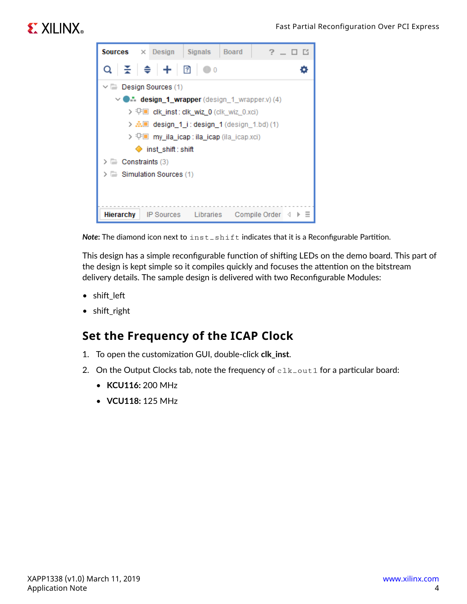# **EXALINX**



**Note:** The diamond icon next to inst\_shift indicates that it is a Reconfigurable Partition.

This design has a simple reconfigurable function of shifting LEDs on the demo board. This part of the design is kept simple so it compiles quickly and focuses the attention on the bitstream delivery details. The sample design is delivered with two Reconfigurable Modules:

- shift left
- shift right

### **Set the Frequency of the ICAP Clock**

- 1. To open the customization GUI, double-click **clk\_inst**.
- 2. On the Output Clocks tab, note the frequency of  $\text{clk}\_\text{out1}$  for a particular board:
	- **KCU116:** 200 MHz
	- **VCU118:** 125 MHz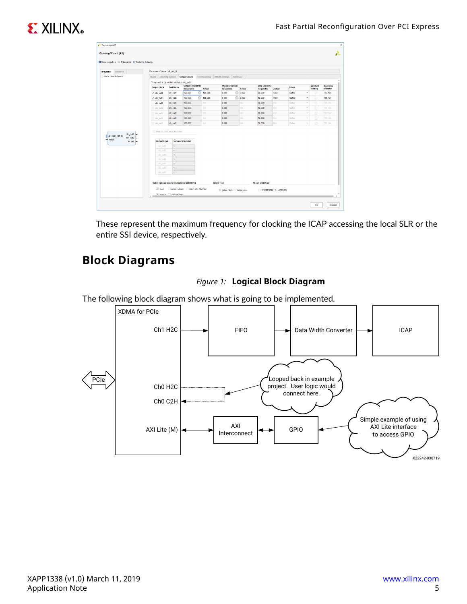# **EXILINX**

| <b>IP Symbol</b> Resource                           | Component Name clk_wiz_0                      |                     |                                       |                             |                                     |                   |                                    |               |                  |                                              |                               |
|-----------------------------------------------------|-----------------------------------------------|---------------------|---------------------------------------|-----------------------------|-------------------------------------|-------------------|------------------------------------|---------------|------------------|----------------------------------------------|-------------------------------|
| Show disabled ports                                 | Board Clocking Options    Qutput Clocks       |                     |                                       | Port Renaming MMCM Settings | Summary                             |                   |                                    |               |                  |                                              |                               |
|                                                     | The phase is calculated relative to clk_out1. |                     |                                       |                             |                                     |                   |                                    |               |                  |                                              |                               |
|                                                     | <b>Output Clock</b>                           | Port Name           | <b>Output Freq (MHz)</b><br>Requested | <b>Actual</b>               | <b>Phase (degrees)</b><br>Requested | Actual            | Duty Cycle (%)<br><b>Requested</b> | <b>Actual</b> | <b>Drives</b>    | <b>Matched</b><br><b>Routing</b>             | <b>Max Freq.</b><br>of buffer |
|                                                     | √ dk_out1                                     | clk_out1            | G<br>125,000                          | 125,000                     | 0.000                               | ◎ 0.000           | 50.000                             | 50.0          | Buffer           | ٠<br>□                                       | 775.194                       |
|                                                     | $\sqrt{}$ dk out2                             | dk_out2             | $\odot$<br>100,000                    | 100,000                     | 0.000                               | € 0.000           | 50,000                             | 50.0          | Buffer           | $\Box$<br>٠                                  | 775.194                       |
|                                                     | dk_out3                                       | dk out3             | 100,000                               | <b>N/A</b>                  | 0.000                               | N/A               | 50,000                             | N/A           | Buffer           | $\Box$<br>$\mathbf{v}$                       | 775.194                       |
|                                                     | dk_out4                                       | clk_out4            | 100,000                               | <b>NIA</b>                  | 0.000                               | NIA               | 50,000                             | NIA           | Buffer           | $\Box$<br>$\sim$                             | 775.194                       |
|                                                     | dk_out5                                       | clk_out5            | 100.000                               | <b>NIA</b>                  | 0.000                               | N/A               | 50,000                             | N/A           | Buffer           | $\Box$<br>$\sim$                             | 775.194                       |
|                                                     |                                               |                     |                                       |                             |                                     |                   |                                    |               |                  |                                              |                               |
|                                                     |                                               |                     |                                       |                             |                                     |                   |                                    |               |                  |                                              |                               |
| clk out1                                            | dk out6<br>dk_out7<br>USE CLOCK SEQUENCING    | dk out6<br>clk_out7 | 100,000<br>100,000                    | N/A<br><b>NIA</b>           | 0.000<br>0.000                      | <b>N/A</b><br>NIA | 50,000<br>50,000                   | N/A<br>N/A    | Buffer<br>Buffer | $\Box$<br>$\scriptstyle\rm w$<br>$\Box$<br>× | 775.194<br>775.194            |
| + CLK_IN1_D<br>$c$ lk_out2 $-$<br>reset<br>locked - | <b>Output Clock</b>                           |                     | <b>Sequence Number</b>                |                             |                                     |                   |                                    |               |                  |                                              |                               |
|                                                     | clk out1                                      | h.                  |                                       |                             |                                     |                   |                                    |               |                  |                                              |                               |
|                                                     | clk out2                                      | и.                  |                                       |                             |                                     |                   |                                    |               |                  |                                              |                               |
|                                                     | clk_out3                                      | 1                   |                                       |                             |                                     |                   |                                    |               |                  |                                              |                               |
|                                                     | clk_out4                                      | h.                  |                                       |                             |                                     |                   |                                    |               |                  |                                              |                               |
|                                                     | clk_out5                                      | и.                  |                                       |                             |                                     |                   |                                    |               |                  |                                              |                               |
|                                                     | clk_out6                                      | 1                   |                                       |                             |                                     |                   |                                    |               |                  |                                              |                               |

These represent the maximum frequency for clocking the ICAP accessing the local SLR or the entire SSI device, respectively.

### **Block Diagrams**



The following block diagram shows what is going to be implemented.

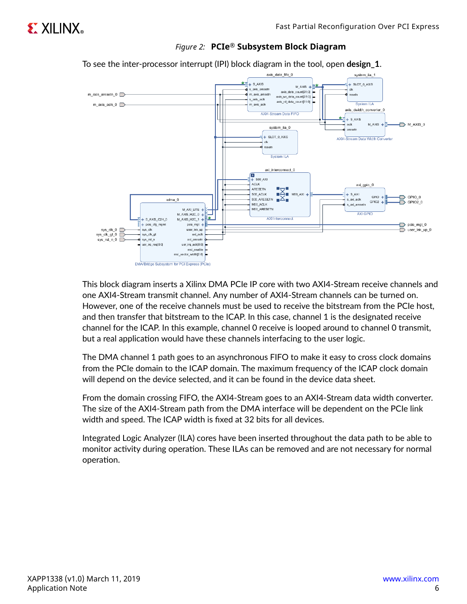

*Figure 2:* **PCIe® Subsystem Block Diagram**

To see the inter-processor interrupt (IPI) block diagram in the tool, open **design\_1**.

This block diagram inserts a Xilinx DMA PCIe IP core with two AXI4-Stream receive channels and one AXI4-Stream transmit channel. Any number of AXI4-Stream channels can be turned on. However, one of the receive channels must be used to receive the bitstream from the PCIe host, and then transfer that bitstream to the ICAP. In this case, channel 1 is the designated receive channel for the ICAP. In this example, channel 0 receive is looped around to channel 0 transmit, but a real application would have these channels interfacing to the user logic.

The DMA channel 1 path goes to an asynchronous FIFO to make it easy to cross clock domains from the PCIe domain to the ICAP domain. The maximum frequency of the ICAP clock domain will depend on the device selected, and it can be found in the device data sheet.

From the domain crossing FIFO, the AXI4-Stream goes to an AXI4-Stream data width converter. The size of the AXI4-Stream path from the DMA interface will be dependent on the PCIe link width and speed. The ICAP width is fixed at 32 bits for all devices.

Integrated Logic Analyzer (ILA) cores have been inserted throughout the data path to be able to monitor activity during operation. These ILAs can be removed and are not necessary for normal operation.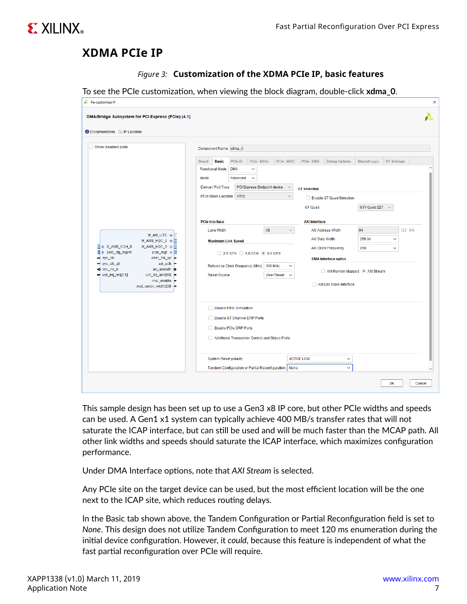

#### **XDMA PCIe IP**

|  |  |  |  |  | Figure 3: Customization of the XDMA PCIe IP, basic features |
|--|--|--|--|--|-------------------------------------------------------------|
|--|--|--|--|--|-------------------------------------------------------------|

To see the PCIe customization, when viewing the block diagram, double-click **xdma\_0**.

| <b>O</b> Documentation <b>P</b> IP Location                                                                                                                                          |                                                                                                                                        |                                |                                                                             |                                    |                              |
|--------------------------------------------------------------------------------------------------------------------------------------------------------------------------------------|----------------------------------------------------------------------------------------------------------------------------------------|--------------------------------|-----------------------------------------------------------------------------|------------------------------------|------------------------------|
| Show disabled ports                                                                                                                                                                  | Component Name xdma_0<br>PCle ID<br>PCle: BARs<br><b>Board</b><br><b>Basic</b><br><b>Functional Mode</b><br><b>DMA</b><br>$\checkmark$ | PCIe: MISC                     | PCle: DMA<br><b>Debug Options</b>                                           | <b>Shared Logic</b>                | <b>GT Settings</b>           |
|                                                                                                                                                                                      | Mode<br>Advanced<br>$\checkmark$<br>Device / Port Type<br>PCI Express Endpoint device<br>PCIe Block Location X1Y2                      | $\sim$<br>$\checkmark$         | <b>GT Selection</b><br>Enable GT Quad Selection                             |                                    |                              |
| M_AXI_LITE +                                                                                                                                                                         | <b>PCIe Interface</b><br><b>Lane Width</b>                                                                                             | X8<br>$\checkmark$             | <b>GT Quad</b><br><b>AXI Interface</b><br><b>AXI Address Width</b>          | GTY Quad 227<br>$\checkmark$<br>64 | $[32 - 64]$                  |
| H<br>$M_A XIS_H 2C_0 + E$<br>필+ S_AXIS_C2H_0<br>M_AXIS_H2C_1 + $\frac{m}{22}$<br>$   + \text{pcie_cfg_mgm}  $<br>pcie_mgt $+   $<br>sys_clk<br>user_Ink_up<br>axi_aclk<br>sys_clk_gt | <b>Maximum Link Speed</b><br>2.5 GT/s 3.0 GT/s 3.0 GT/s<br>Reference Clock Frequency (MHz)                                             | <b>100 MHz</b><br>$\checkmark$ | AXI Data Width<br><b>AXI Clock Frequency</b><br><b>DMA</b> Interface option | 256 bit<br>250                     | $\checkmark$<br>$\checkmark$ |
| o sys_rst_n<br>axi_aresetn<br>usr_irq_ack[0:0]<br>$\blacksquare$ usr_irq_req[0:0]<br>msi_enable<br>msi_vector_width[2:0]                                                             | Reset Source                                                                                                                           | <b>User Reset</b><br>$\sim$    | AXI Memory Mapped @ AXI Stream<br>AXI-Lite Slave Interface                  |                                    |                              |
|                                                                                                                                                                                      | Enable PIPE Simulation<br>Enable GT Channel DRP Ports<br>Enable PCIe DRP Ports                                                         |                                |                                                                             |                                    |                              |
|                                                                                                                                                                                      | Additional Transceiver Control and Status Ports<br><b>System Reset polarity</b>                                                        |                                | <b>ACTIVE LOW</b><br>v                                                      |                                    |                              |
|                                                                                                                                                                                      | Tandem Configuration or Partial Reconfiguration   None                                                                                 |                                | v                                                                           |                                    |                              |

This sample design has been set up to use a Gen3 x8 IP core, but other PCIe widths and speeds can be used. A Gen1 x1 system can typically achieve 400 MB/s transfer rates that will not saturate the ICAP interface, but can still be used and will be much faster than the MCAP path. All other link widths and speeds should saturate the ICAP interface, which maximizes configuration performance.

Under DMA Interface options, note that *AXI Stream* is selected.

Any PCIe site on the target device can be used, but the most efficient location will be the one next to the ICAP site, which reduces routing delays.

In the Basic tab shown above, the Tandem Configuration or Partial Reconfiguration field is set to *None*. This design does not utilize Tandem Configuration to meet 120 ms enumeration during the initial device configuration. However, it *could*, because this feature is independent of what the fast partial reconfiguration over PCIe will require.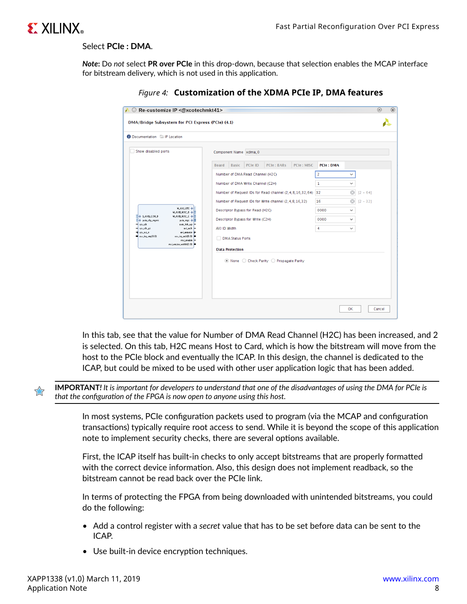

#### Select **PCIe : DMA**.

*Note***:** Do *not* select **PR over PCIe** in this drop-down, because that selection enables the MCAP interface for bitstream delivery, which is not used in this application.

| Re-customize IP <@xcotechmkt41><br>DMA/Bridge Subsystem for PCI Express (PCIe) (4.1)   |                                                                                          | $\odot$ |
|----------------------------------------------------------------------------------------|------------------------------------------------------------------------------------------|---------|
| Documentation P IP Location                                                            |                                                                                          |         |
| Show disabled ports                                                                    | Component Name xdma_0                                                                    |         |
|                                                                                        | PCIe: BARs<br>PCIe: MISC<br>PCIe ID<br><b>PCIe: DMA</b><br><b>Basic</b><br><b>Board</b>  |         |
|                                                                                        | $\overline{2}$<br>Number of DMA Read Channel (H2C)<br>$\checkmark$                       |         |
|                                                                                        | Number of DMA Write Channel (C2H)<br>1<br>$\checkmark$                                   |         |
|                                                                                        | $\odot$<br>Number of Request IDs for Read channel (2, 4, 8, 16, 32, 64) 32<br>$[2 - 64]$ |         |
|                                                                                        | Number of Request IDs for Write channel (2, 4, 8, 16, 32)<br>16<br>$[2 - 32]$            |         |
| <b>M_AXLLITE +</b><br>M_AXIS_H2C_D +                                                   | Descriptor Bypass for Read (H2C)<br>0000<br>$\checkmark$                                 |         |
| M_AXIS_H2C_1 +<br>$\frac{11}{21}$ + SLAXIS_C2H_D<br>+ pcie_clg_mgmL<br>pcie_mgt +      | Descriptor Bypass for Write (C2H)<br>0000<br>$\checkmark$                                |         |
| ys_clk<br>user_lnk_up<br>sys_clk_gt<br>axi_aclk<br>axi_alesein D<br><b>Q</b> sys_ist_n | AXI ID Width<br>4<br>$\checkmark$                                                        |         |
| R:01por_pit_use<br>usi_iiq_ack(0:0)<br>mi_enable<br>msi_voctor_width[2:0]              | <b>DMA Status Ports</b>                                                                  |         |
|                                                                                        | <b>Data Protection</b>                                                                   |         |
|                                                                                        | ◎ None ○ Check Parity ○ Propagate Parity                                                 |         |
|                                                                                        |                                                                                          |         |
|                                                                                        |                                                                                          |         |
|                                                                                        |                                                                                          |         |
|                                                                                        |                                                                                          |         |
|                                                                                        | 0K                                                                                       | Cancel  |

*Figure 4:* **Customization of the XDMA PCIe IP, DMA features**

In this tab, see that the value for Number of DMA Read Channel (H2C) has been increased, and 2 is selected. On this tab, H2C means Host to Card, which is how the bitstream will move from the host to the PCIe block and eventually the ICAP. In this design, the channel is dedicated to the ICAP, but could be mixed to be used with other user application logic that has been added.

**IMPORTANT***! It is important for developers to understand that one of the disadvantages of using the DMA for PCIe is that the configuration of the FPGA is now open to anyone using this host.*

In most systems, PCIe configuration packets used to program (via the MCAP and configuration transactions) typically require root access to send. While it is beyond the scope of this application note to implement security checks, there are several options available.

First, the ICAP itself has built-in checks to only accept bitstreams that are properly formatted with the correct device information. Also, this design does not implement readback, so the bitstream cannot be read back over the PCIe link.

In terms of protecting the FPGA from being downloaded with unintended bitstreams, you could do the following:

- Add a control register with a *secret* value that has to be set before data can be sent to the ICAP.
- Use built-in device encryption techniques.

 $\frac{1}{2}$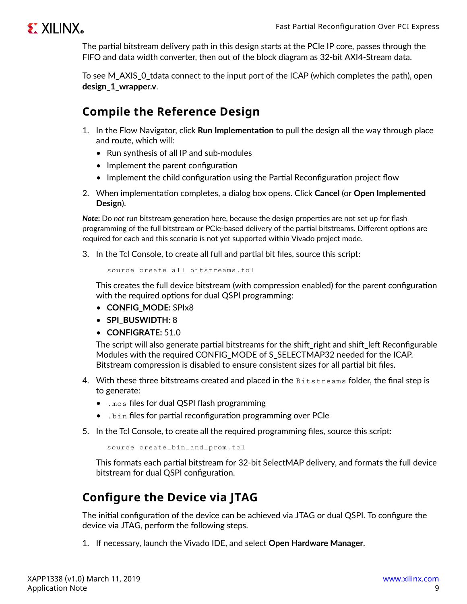

The partial bitstream delivery path in this design starts at the PCIe IP core, passes through the FIFO and data width converter, then out of the block diagram as 32-bit AXI4-Stream data.

To see M\_AXIS\_0\_tdata connect to the input port of the ICAP (which completes the path), open **design\_1\_wrapper.v**.

### **Compile the Reference Design**

- 1. In the Flow Navigator, click **Run Implementation** to pull the design all the way through place and route, which will:
	- Run synthesis of all IP and sub-modules
	- Implement the parent configuration
	- Implement the child configuration using the Partial Reconfiguration project flow
- 2. When implementation completes, a dialog box opens. Click **Cancel** (or **Open Implemented Design**).

*Note***:** Do *not* run bitstream generation here, because the design properties are not set up for flash programming of the full bitstream or PCIe-based delivery of the partial bitstreams. Different options are required for each and this scenario is not yet supported within Vivado project mode.

3. In the Tcl Console, to create all full and partial bit files, source this script:

source create\_all\_bitstreams.tcl

This creates the full device bitstream (with compression enabled) for the parent configuration with the required options for dual QSPI programming:

- **CONFIG\_MODE:** SPIx8
- **SPI\_BUSWIDTH:** 8
- **CONFIGRATE:** 51.0

The script will also generate partial bitstreams for the shift\_right and shift\_left Reconfigurable Modules with the required CONFIG MODE of S SELECTMAP32 needed for the ICAP. Bitstream compression is disabled to ensure consistent sizes for all partial bit files.

- 4. With these three bitstreams created and placed in the Bitstreams folder, the final step is to generate:
	- . mc s files for dual QSPI flash programming
	- .bin files for partial reconfiguration programming over PCIe
- 5. In the Tcl Console, to create all the required programming files, source this script:

```
source create_bin_and_prom.tcl
```
This formats each partial bitstream for 32-bit SelectMAP delivery, and formats the full device bitstream for dual QSPI configuration.

### **Configure the Device via JTAG**

The initial configuration of the device can be achieved via JTAG or dual QSPI. To configure the device via JTAG, perform the following steps.

1. If necessary, launch the Vivado IDE, and select **Open Hardware Manager**.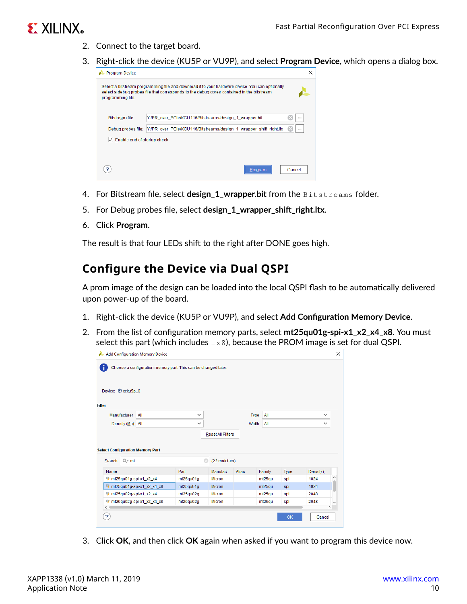## **EXALINX**

- 2. Connect to the target board.
- 3. Right-click the device (KU5P or VU9P), and select **Program Device**, which opens a dialog box.



- 4. For Bitstream file, select **design\_1\_wrapper.bit** from the Bitstreams folder.
- 5. For Debug probes file, select **design\_1\_wrapper\_shift\_right.ltx**.
- 6. Click **Program**.

The result is that four LEDs shift to the right after DONE goes high.

#### **Configure the Device via Dual QSPI**

A prom image of the design can be loaded into the local QSPI flash to be automatically delivered upon power-up of the board.

- 1. Right-click the device (KU5P or VU9P), and select **Add Configuration Memory Device**.
- 2. From the list of configuration memory parts, select **mt25qu01g-spi-x1\_x2\_x4\_x8**. You must select this part (which includes  $_{-x8}$ ), because the PROM image is set for dual QSPI.

|                                              | Add Configuration Memory Device                                |              |                          |       |        |      |              | $\times$      |
|----------------------------------------------|----------------------------------------------------------------|--------------|--------------------------|-------|--------|------|--------------|---------------|
|                                              | Choose a configuration memory part. This can be changed later. |              |                          |       |        |      |              |               |
| Device: (b) xcku5p_0                         |                                                                |              |                          |       |        |      |              |               |
| Filter                                       |                                                                |              |                          |       |        |      |              |               |
| Manufacturer                                 | All                                                            | $\checkmark$ |                          | Type  | All    |      | $\checkmark$ |               |
| Density (Mb)                                 | All                                                            | $\checkmark$ |                          | Width | All    |      | v            |               |
|                                              |                                                                |              |                          |       |        |      |              |               |
|                                              |                                                                |              | <b>Reset All Filters</b> |       |        |      |              |               |
|                                              |                                                                |              |                          |       |        |      |              |               |
| <b>Select Configuration Memory Part</b>      |                                                                |              |                          |       |        |      |              |               |
| Search: Q- mt                                |                                                                | $\odot$      | (22 matches)             |       |        |      |              |               |
| Name                                         |                                                                | Part         | Manufact                 | Alias | Family | Type | Density (    |               |
| mt25qu01g-spi-x1_x2_x4                       |                                                                | mt25qu01g    | <b>Micron</b>            |       | mt25gu | spi  | 1024         |               |
| /http://tn/25qu01g-spi-x1_x2_x4_x8           |                                                                | mt25qu01q    | Micron                   |       | mt25qu | spi  | 1024         |               |
| $\blacktriangleright$ mt25qu02g-spi-x1_x2_x4 |                                                                | mt25qu02g    | Micron                   |       | mt25qu | spi  | 2048         |               |
| Q,                                           | mt25qu02q-spi-x1 x2 x4 x8                                      | mt25qu02q    | Micron                   |       | mt25qu | spi  | 2048         |               |
| ₹                                            |                                                                |              |                          |       |        |      |              | $\rightarrow$ |

3. Click **OK**, and then click **OK** again when asked if you want to program this device now.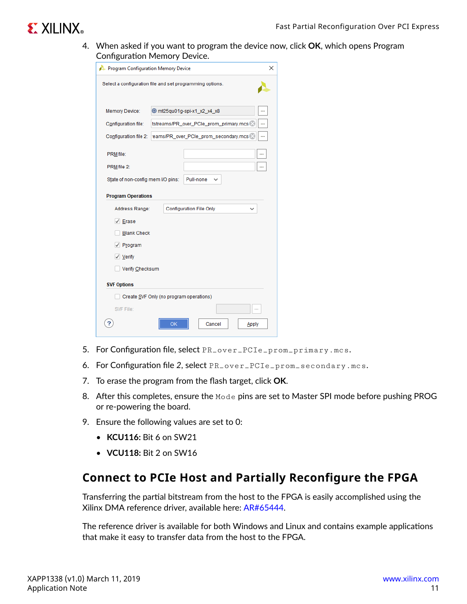## **EXILINX**

4. When asked if you want to program the device now, click **OK**, which opens Program Configuration Memory Device.

|                                                          | Program Configuration Memory Device<br>× |                                |  |  |  |  |  |
|----------------------------------------------------------|------------------------------------------|--------------------------------|--|--|--|--|--|
| Select a configuration file and set programming options. |                                          |                                |  |  |  |  |  |
| Memory Device:                                           | <b>@ mt25qu01g-spi-x1_x2_x4_x8</b>       |                                |  |  |  |  |  |
| Configuration file:                                      | tstreams/PR_over_PCIe_prom_primary.mcs   |                                |  |  |  |  |  |
| Configuration file 2:                                    | eams/PR_over_PCle_prom_secondary.mcs >   |                                |  |  |  |  |  |
| PRM file:                                                |                                          |                                |  |  |  |  |  |
| PRM file 2:                                              |                                          |                                |  |  |  |  |  |
| State of non-config mem I/O pins:                        |                                          | Pull-none                      |  |  |  |  |  |
| <b>Program Operations</b>                                |                                          |                                |  |  |  |  |  |
| Address Range:                                           |                                          | <b>Configuration File Only</b> |  |  |  |  |  |
| $\sqrt{ }$ Erase                                         |                                          |                                |  |  |  |  |  |
| <b>Blank Check</b>                                       |                                          |                                |  |  |  |  |  |
| $\sqrt{P_{\text{I}}$ ogram                               |                                          |                                |  |  |  |  |  |
| $\sqrt{}$ Verify                                         |                                          |                                |  |  |  |  |  |
| Verify Checksum                                          |                                          |                                |  |  |  |  |  |
| <b>SVF Options</b>                                       |                                          |                                |  |  |  |  |  |
|                                                          | Create SVF Only (no program operations)  |                                |  |  |  |  |  |
| SVF File:                                                |                                          |                                |  |  |  |  |  |
|                                                          | OK                                       | Cancel<br>Apply                |  |  |  |  |  |

- 5. For Configuration file, select PR\_over\_PCIe\_prom\_primary.mcs.
- 6. For Configuration file *2*, select PR\_over\_PCIe\_prom\_secondary.mcs.
- 7. To erase the program from the flash target, click **OK**.
- 8. After this completes, ensure the Mode pins are set to Master SPI mode before pushing PROG or re-powering the board.
- 9. Ensure the following values are set to 0:
	- **KCU116:** Bit 6 on SW21
	- **VCU118:** Bit 2 on SW16

#### **Connect to PCIe Host and Partially Reconfigure the FPGA**

Transferring the partial bitstream from the host to the FPGA is easily accomplished using the Xilinx DMA reference driver, available here: [AR#65444](https://www.xilinx.com/cgi-bin/docs/ndoc?t=answers;d=65444.html).

The reference driver is available for both Windows and Linux and contains example applications that make it easy to transfer data from the host to the FPGA.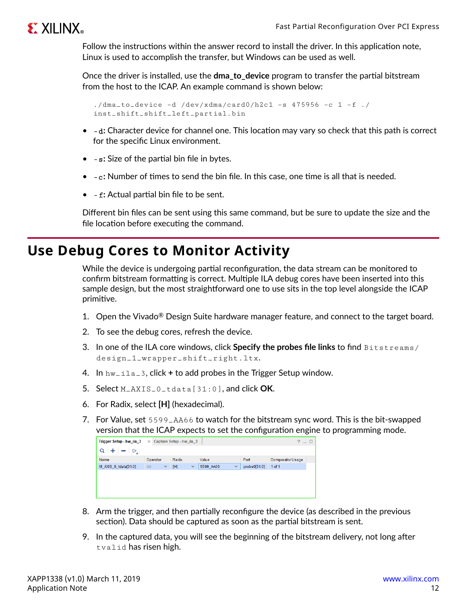## **EXILINX**

Follow the instructions within the answer record to install the driver. In this application note, Linux is used to accomplish the transfer, but Windows can be used as well.

Once the driver is installed, use the **dma\_to\_device** program to transfer the partial bitstream from the host to the ICAP. An example command is shown below:

```
./dma_to_device -d /dev/xdma/card0/h2c1 -s 475956 -c 1 -f ./
inst_shift_shift_left_partial.bin
```
- -d**:** Character device for channel one. This location may vary so check that this path is correct for the specific Linux environment.
- -s**:** Size of the partial bin file in bytes.
- -c**:** Number of times to send the bin file. In this case, one time is all that is needed.
- -f**:** Actual partial bin file to be sent.

Different bin files can be sent using this same command, but be sure to update the size and the file location before executing the command.

## **Use Debug Cores to Monitor Activity**

While the device is undergoing partial reconfiguration, the data stream can be monitored to confirm bitstream formatting is correct. Multiple ILA debug cores have been inserted into this sample design, but the most straightforward one to use sits in the top level alongside the ICAP primitive.

- 1. Open the Vivado<sup>®</sup> Design Suite hardware manager feature, and connect to the target board.
- 2. To see the debug cores, refresh the device.
- 3. In one of the ILA core windows, click **Specify the probes file links** to find Bitstreams/ design\_1\_wrapper\_shift\_right.ltx.
- 4. In hw\_ila\_3, click **+** to add probes in the Trigger Setup window.
- 5. Select M\_AXIS\_0\_tdata[31:0], and click **OK**.
- 6. For Radix, select **[H]** (hexadecimal).
- 7. For Value, set 5599\_AA66 to watch for the bitstream sync word. This is the bit-swapped version that the ICAP expects to set the configuration engine to programming mode.



- 8. Arm the trigger, and then partially reconfigure the device (as described in the previous section). Data should be captured as soon as the partial bitstream is sent.
- 9. In the captured data, you will see the beginning of the bitstream delivery, not long after tvalid has risen high.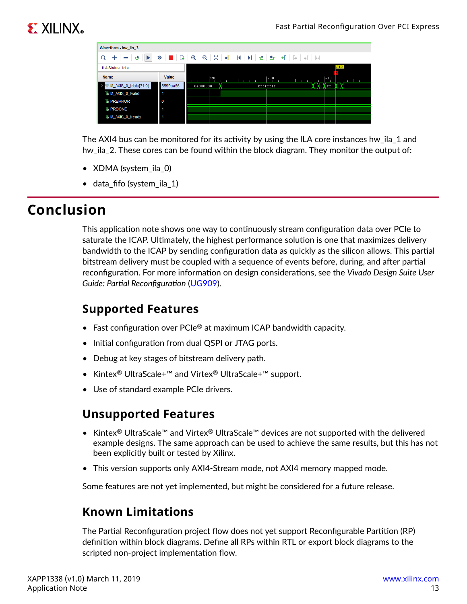# **EXALINX**

| Waveform - hw ila 3                                                                                                                                                                                                                                                                                                        |          |          |     |          |                   |     |        |
|----------------------------------------------------------------------------------------------------------------------------------------------------------------------------------------------------------------------------------------------------------------------------------------------------------------------------|----------|----------|-----|----------|-------------------|-----|--------|
| $Q \mid + \mid = \mid \Phi \mid \blacktriangleright \mid \blacktriangleright \mid \blacksquare \mid \boxtimes \mid \Theta \mid Q \mid \boxtimes \mid \blacktriangleleft \mid \mathsf{H} \mid \mathsf{H} \mid \blacktriangleright \mid \exists \vdash \mid \mathsf{H} \mid \mathsf{F} \mid \exists \top \mid \boxplus \mid$ |          |          |     |          |                   |     |        |
| ILA Status: Idle                                                                                                                                                                                                                                                                                                           |          |          |     |          |                   |     | 512    |
| <b>Name</b>                                                                                                                                                                                                                                                                                                                | Value    |          | 490 | 1500     |                   | 510 |        |
| M_AXIS_0_tdata[31:0]                                                                                                                                                                                                                                                                                                       | 5599aa66 | 04000000 |     | ffffffff | <b>TO GALLERY</b> |     | entre. |
| <b>L</b> M AXIS 0 tvalid                                                                                                                                                                                                                                                                                                   |          |          |     |          |                   |     |        |
| <b><i>I PRERROR</i></b>                                                                                                                                                                                                                                                                                                    | 0        |          |     |          |                   |     |        |
| <b><i>IS PRDONE</i></b>                                                                                                                                                                                                                                                                                                    |          |          |     |          |                   |     |        |
| <b>L</b> M AXIS 0 tready                                                                                                                                                                                                                                                                                                   |          |          |     |          |                   |     |        |

The AXI4 bus can be monitored for its activity by using the ILA core instances hw\_ila\_1 and hw\_ila\_2. These cores can be found within the block diagram. They monitor the output of:

- XDMA (system\_ila\_0)
- data\_fifo (system\_ila\_1)

## **Conclusion**

This application note shows one way to continuously stream configuration data over PCIe to saturate the ICAP. Ultimately, the highest performance solution is one that maximizes delivery bandwidth to the ICAP by sending configuration data as quickly as the silicon allows. This partial bitstream delivery must be coupled with a sequence of events before, during, and after partial reconfiguration. For more information on design considerations, see the *Vivado Design Suite User Guide: Partial Reconfiguration* ([UG909\)](https://www.xilinx.com/cgi-bin/docs/rdoc?v=latest;d=ug909-vivado-partial-reconfiguration.pdf).

### **Supported Features**

- Fast configuration over  $PCle^{\circledR}$  at maximum ICAP bandwidth capacity.
- Initial configuration from dual QSPI or JTAG ports.
- Debug at key stages of bitstream delivery path.
- Kintex® UltraScale+™ and Virtex® UltraScale+™ support.
- Use of standard example PCIe drivers.

#### **Unsupported Features**

- Kintex<sup>®</sup> UltraScale™ and Virtex® UltraScale™ devices are not supported with the delivered example designs. The same approach can be used to achieve the same results, but this has not been explicitly built or tested by Xilinx.
- This version supports only AXI4-Stream mode, not AXI4 memory mapped mode.

Some features are not yet implemented, but might be considered for a future release.

### **Known Limitations**

The Partial Reconfiguration project flow does not yet support Reconfigurable Partition (RP) definition within block diagrams. Define all RPs within RTL or export block diagrams to the scripted non-project implementation flow.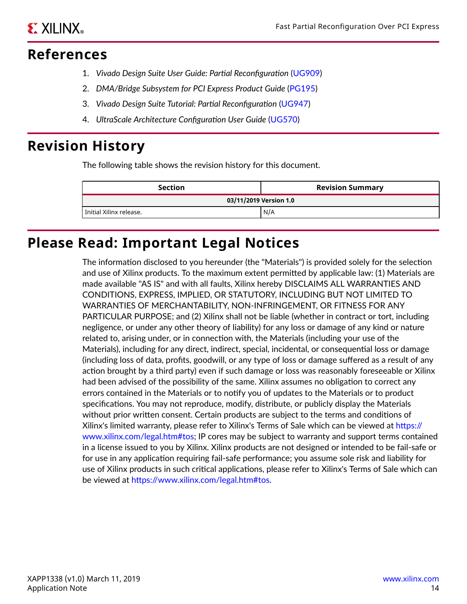### **References**

- 1. *Vivado Design Suite User Guide: Partial Reconfiguration* [\(UG909\)](https://www.xilinx.com/cgi-bin/docs/rdoc?v=latest;d=ug909-vivado-partial-reconfiguration.pdf)
- 2. *DMA/Bridge Subsystem for PCI Express Product Guide* ([PG195\)](https://www.xilinx.com/cgi-bin/docs/ipdoc?c=xdma;v=latest;d=pg195-pcie-dma.pdf)
- 3. *Vivado Design Suite Tutorial: Partial Reconfiguration* ([UG947](https://www.xilinx.com/cgi-bin/docs/rdoc?v=latest;d=ug947-vivado-partial-reconfiguration-tutorial.pdf))
- 4. *UltraScale Architecture Configuration User Guide* ([UG570](https://www.xilinx.com/cgi-bin/docs/ndoc?t=user_guides;d=ug570-ultrascale-configuration.pdf))

## **Revision History**

The following table shows the revision history for this document.

| <b>Section</b>          | <b>Revision Summary</b> |
|-------------------------|-------------------------|
|                         | 03/11/2019 Version 1.0  |
| Initial Xilinx release. | N/A                     |

## **Please Read: Important Legal Notices**

The information disclosed to you hereunder (the "Materials") is provided solely for the selection and use of Xilinx products. To the maximum extent permitted by applicable law: (1) Materials are made available "AS IS" and with all faults, Xilinx hereby DISCLAIMS ALL WARRANTIES AND CONDITIONS, EXPRESS, IMPLIED, OR STATUTORY, INCLUDING BUT NOT LIMITED TO WARRANTIES OF MERCHANTABILITY, NON-INFRINGEMENT, OR FITNESS FOR ANY PARTICULAR PURPOSE; and (2) Xilinx shall not be liable (whether in contract or tort, including negligence, or under any other theory of liability) for any loss or damage of any kind or nature related to, arising under, or in connection with, the Materials (including your use of the Materials), including for any direct, indirect, special, incidental, or consequential loss or damage (including loss of data, profits, goodwill, or any type of loss or damage suffered as a result of any action brought by a third party) even if such damage or loss was reasonably foreseeable or Xilinx had been advised of the possibility of the same. Xilinx assumes no obligation to correct any errors contained in the Materials or to notify you of updates to the Materials or to product specifications. You may not reproduce, modify, distribute, or publicly display the Materials without prior written consent. Certain products are subject to the terms and conditions of Xilinx's limited warranty, please refer to Xilinx's Terms of Sale which can be viewed at [https://](https://www.xilinx.com/legal.htm#tos) [www.xilinx.com/legal.htm#tos](https://www.xilinx.com/legal.htm#tos); IP cores may be subject to warranty and support terms contained in a license issued to you by Xilinx. Xilinx products are not designed or intended to be fail-safe or for use in any application requiring fail-safe performance; you assume sole risk and liability for use of Xilinx products in such critical applications, please refer to Xilinx's Terms of Sale which can be viewed at [https://www.xilinx.com/legal.htm#tos.](https://www.xilinx.com/legal.htm#tos)